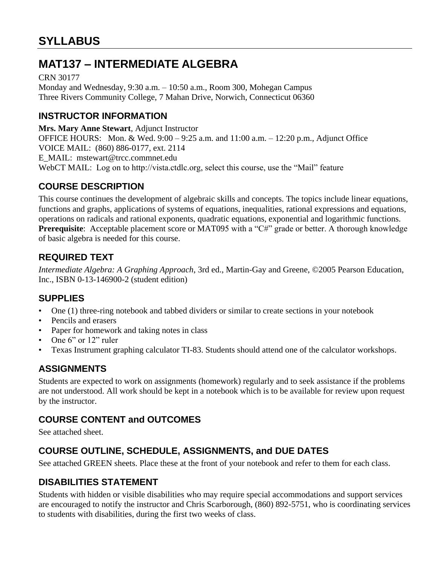# **MAT137 – INTERMEDIATE ALGEBRA**

CRN 30177 Monday and Wednesday, 9:30 a.m. – 10:50 a.m., Room 300, Mohegan Campus Three Rivers Community College, 7 Mahan Drive, Norwich, Connecticut 06360

## **INSTRUCTOR INFORMATION**

**Mrs. Mary Anne Stewart**, Adjunct Instructor OFFICE HOURS: Mon. & Wed. 9:00 – 9:25 a.m. and 11:00 a.m. – 12:20 p.m., Adjunct Office VOICE MAIL: (860) 886-0177, ext. 2114 E\_MAIL: mstewart@trcc.commnet.edu WebCT MAIL: Log on to http://vista.ctdlc.org, select this course, use the "Mail" feature

# **COURSE DESCRIPTION**

This course continues the development of algebraic skills and concepts. The topics include linear equations, functions and graphs, applications of systems of equations, inequalities, rational expressions and equations, operations on radicals and rational exponents, quadratic equations, exponential and logarithmic functions. **Prerequisite**: Acceptable placement score or MAT095 with a "C#" grade or better. A thorough knowledge of basic algebra is needed for this course.

## **REQUIRED TEXT**

*Intermediate Algebra: A Graphing Approach*, 3rd ed., Martin-Gay and Greene, ©2005 Pearson Education, Inc., ISBN 0-13-146900-2 (student edition)

## **SUPPLIES**

- One (1) three-ring notebook and tabbed dividers or similar to create sections in your notebook
- Pencils and erasers
- Paper for homework and taking notes in class
- One 6" or 12" ruler
- Texas Instrument graphing calculator TI-83. Students should attend one of the calculator workshops.

## **ASSIGNMENTS**

Students are expected to work on assignments (homework) regularly and to seek assistance if the problems are not understood. All work should be kept in a notebook which is to be available for review upon request by the instructor.

## **COURSE CONTENT and OUTCOMES**

See attached sheet.

# **COURSE OUTLINE, SCHEDULE, ASSIGNMENTS, and DUE DATES**

See attached GREEN sheets. Place these at the front of your notebook and refer to them for each class.

## **DISABILITIES STATEMENT**

Students with hidden or visible disabilities who may require special accommodations and support services are encouraged to notify the instructor and Chris Scarborough, (860) 892-5751, who is coordinating services to students with disabilities, during the first two weeks of class.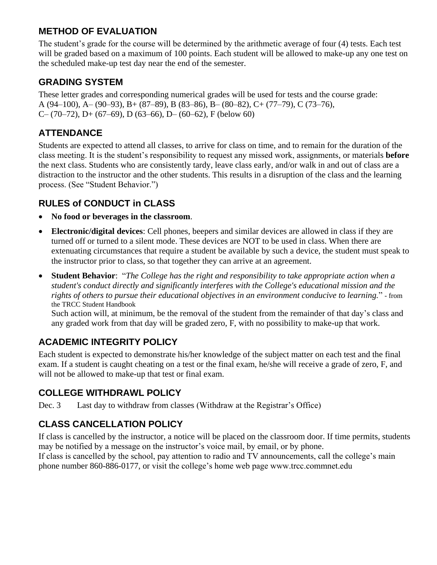## **METHOD OF EVALUATION**

The student's grade for the course will be determined by the arithmetic average of four (4) tests. Each test will be graded based on a maximum of 100 points. Each student will be allowed to make-up any one test on the scheduled make-up test day near the end of the semester.

# **GRADING SYSTEM**

These letter grades and corresponding numerical grades will be used for tests and the course grade: A (94–100), A– (90–93), B+ (87–89), B (83–86), B– (80–82), C+ (77–79), C (73–76), C– (70–72), D+ (67–69), D (63–66), D– (60–62), F (below 60)

# **ATTENDANCE**

Students are expected to attend all classes, to arrive for class on time, and to remain for the duration of the class meeting. It is the student's responsibility to request any missed work, assignments, or materials **before** the next class. Students who are consistently tardy, leave class early, and/or walk in and out of class are a distraction to the instructor and the other students. This results in a disruption of the class and the learning process. (See "Student Behavior.")

# **RULES of CONDUCT in CLASS**

- **No food or beverages in the classroom**.
- **Electronic/digital devices**: Cell phones, beepers and similar devices are allowed in class if they are turned off or turned to a silent mode. These devices are NOT to be used in class. When there are extenuating circumstances that require a student be available by such a device, the student must speak to the instructor prior to class, so that together they can arrive at an agreement.
- **Student Behavior**: "*The College has the right and responsibility to take appropriate action when a student's conduct directly and significantly interferes with the College's educational mission and the rights of others to pursue their educational objectives in an environment conducive to learning.*" - from the TRCC Student Handbook

Such action will, at minimum, be the removal of the student from the remainder of that day's class and any graded work from that day will be graded zero, F, with no possibility to make-up that work.

# **ACADEMIC INTEGRITY POLICY**

Each student is expected to demonstrate his/her knowledge of the subject matter on each test and the final exam. If a student is caught cheating on a test or the final exam, he/she will receive a grade of zero, F, and will not be allowed to make-up that test or final exam.

# **COLLEGE WITHDRAWL POLICY**

Dec. 3 Last day to withdraw from classes (Withdraw at the Registrar's Office)

# **CLASS CANCELLATION POLICY**

If class is cancelled by the instructor, a notice will be placed on the classroom door. If time permits, students may be notified by a message on the instructor's voice mail, by email, or by phone. If class is cancelled by the school, pay attention to radio and TV announcements, call the college's main phone number 860-886-0177, or visit the college's home web page www.trcc.commnet.edu